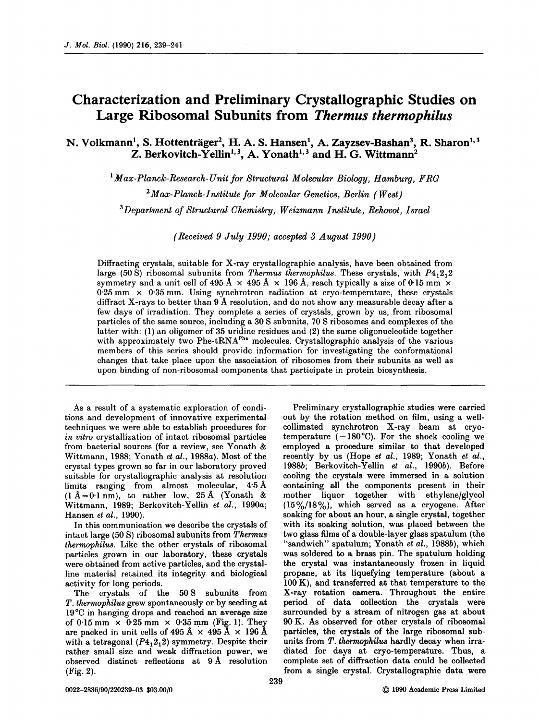## **Characterization and Preliminary Crystallographic Studies on Large Ribosomal Subunits from** *Thermus thermophilus*

N. Volkmann<sup>1</sup>, S. Hottenträger<sup>2</sup>, H. A. S. Hansen<sup>1</sup>, A. Zayzsev-Bashan<sup>3</sup>, R. Sharon<sup>1,3</sup> Z. Berkovitch-Yellin<sup>1, 3</sup>, A. Yonath<sup>1, 3</sup> and H. G. Wittmann<sup>2</sup>

*I Max-Planck-Research-Unit for Structural Molecular Biology, Hamburg, FRG* 

*2 Max-Planck-Institute for Molecular Genetics, Berlin (West)* 

*aDepartment of Structural Chemistry, Weizmann Institute, Rehovot, Israel* 

*(Received 9 July 1990; accepted 3 August 1990)* 

Diffracting crystals, suitable for X-ray crystallographic analysis, have been obtained from large (50 S) ribosomal subunits from *Thermus thermophilus*. These crystals, with  $P_{4,2,2}$ symmetry and a unit cell of 495 Å  $\times$  495 Å  $\times$  196 Å, reach typically a size of 0·15 mm  $\times$  $0.25$  mm  $\times$  0.35 mm. Using synchrotron radiation at cryo-temperature, these crystals diffract X-rays to better than 9 A resolution, and do not show any measurable decay after a few days of irradiation. They complete a series of crystals, grown by us, from ribosomal particles of the same source, including a 30 S subunits, 70 S ribosomes and complexes of the latter with: (1) an oligomer of 35 uridine residues and (2) the same oligonucleotide together with approximately two Phe-tRNA<sup>Phe</sup> molecules. Crystallographic analysis of the various members of this series should provide information for investigating the conformational changes that take place upon the association of ribosomes from their subunits as well as upon binding of non-ribosomal components that participate in protein biosynthesis.

As a result of a systematic exploration of conditions and development of innovative experimental techniques we were able to establish procedures for *in vitro* crystallization of intact ribosomal particles from bacterial sources (for a review, see Yonath & Wittmann, 1988; Yonath *et al.,* 1988a). Most of the crystal types grown so far in our laboratory proved suitable for crystallographic analysis at resolution limits ranging from almost molecular, 4-5 A  $(1 \text{ Å}=0.1 \text{ nm})$ , to rather low, 25 Å (Yonath & Wittmann, 1989; Berkovitch-Yellin *et al.,* 1990a; Hansen *et al.,* 1990).

In this communication we describe the crystals of intact large (50 S) ribosomal subunits from *Thermus thermophilus.* Like the other crystals of ribosomal particles grown in our laboratory, these crystals were obtained from active particles, and the crystalline material retained its integrity and biological activity for long periods.

The crystals of the 50S subunits from *T. thermophilus* grew spontaneously or by seeding at 19°C in hanging drops and reached an average size of 0.15 mm  $\times$  0.25 mm  $\times$  0.35 mm (Fig. 1). They are packed in unit cells of  $495 \text{ Å} \times 495 \text{ Å} \times 196 \text{ Å}$ with a tetragonal  $(P4<sub>1</sub>2<sub>1</sub>2)$  symmetry. Despite their rather small size and weak diffraction power, we observed distinct reflections at 9A resolution (Fig. 2).

Preliminary crystallographic studies were carried out by the rotation method on film, using a wellcollimated synchrotron X-ray beam at cryotemperature  $(-180^{\circ}C)$ . For the shock cooling we employed a procedure similar to that developed recently by us (Hope *et al.,* 1989; Yonath *et al.,*  1988b; Berkovitch-Yellin *et al.,* 1990b). Before cooling the crystals were immersed in a solution containing all the components present in their mother liquor together with ethylene/glycol  $(15\%/18\%)$ , which served as a cryogene. After soaking for about an hour, a single crystal, together with its soaking solution, was placed between the two glass films of a double-layer glass spatulum (the "sandwich" spatulum; Yonath *et al.,* 1988b), which was soldered to a brass pin. The spatulum holding the crystal was instantaneously frozen in liquid propane, at its liquefying temperature (about a 100 K), and transferred at that temperature to the X-ray rotation camera. Throughout the entire period of data collection the crystals were surrounded by a stream of nitrogen gas at about 90 K. As observed for other crystals of ribosomal particles, the crystals of the large ribosomal subunits from T. thermophilus hardly decay when irradiated for days at cryo-temperature. Thus, a complete set of diffraction data could be collected from a single crystal. Crystallographic data were

239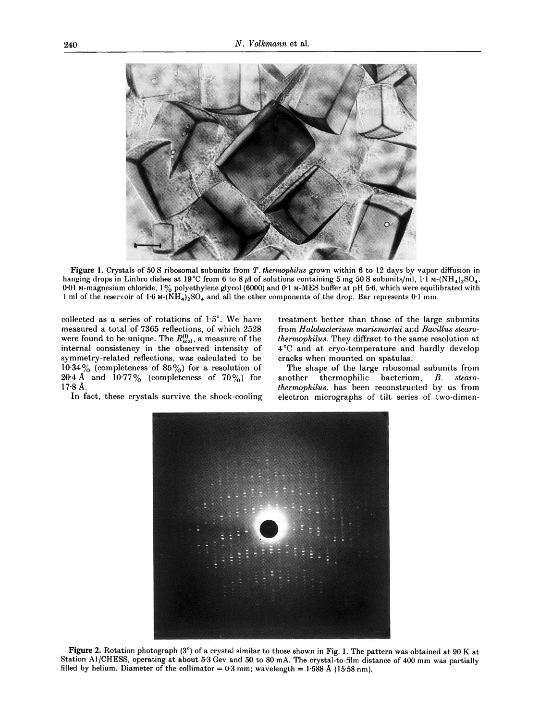

Figure 1. Crystals of 50 S ribosomal subunits from *T. thermophilus* grown within 6 to 12 days by vapor diffusion in hanging drops in Linbro dishes at 19°C from 6 to 8  $\mu$ l of solutions containing 5 mg 50 S subunits/ml, l<sup>1</sup> M-(NH<sub>4</sub>)<sub>2</sub>SO<sub>4</sub>, 0.01 M-magnesium chloride,  $1\%$  polyethylene glycol (6000) and 0.1 M-MES buffer at pH 5.6, which were equilibrated with 1 ml of the reservoir of  $1·6$  M-(NH<sub>4</sub>)<sub>2</sub>SO<sub>4</sub> and all the other components of the drop. Bar represents 0<sup>-1</sup> mm.

collected as a series of rotations of  $1.5^\circ$ . We have measured a total of 7365 reflections, of which 2528 were found to be unique. The  $R_{\text{scal}}^{(0)}$ , a measure of the internal consistency in the observed intensity of symmetry-related reflections, was calculated to be  $10.34\%$  (completeness of  $85\%$ ) for a resolution of 20.4 Å and  $10.77\%$  (completeness of 70%) for 17-8 A.

In fact, these crystals survive the shock-cooling

treatment better than those of the large subunits from *Halobacterium marismortui* and *Bacillus stearotherrnophilus.* They diffract to the same resolution at 4°C and at cryo-temperature and hardly develop cracks when mounted on spatulas.

The shape of the large ribosomal subunits from another thermophilic bacterium, *B. stearothermophilus,* has been reconstructed by us from electron micrographs of tilt series of two-dimen-



Figure 2. Rotation photograph (3°) of a crystal similar to those shown in Fig. 1. The pattern was obtained at 90 K at Station AI/CHESS, operating at about 5.3 Gev and 50 to 80 mA. The crystal-to-film distance of 400 mm was partially filled by helium. Diameter of the collimator =  $0.3$  mm; wavelength = 1.588 Å (15.58 nm).